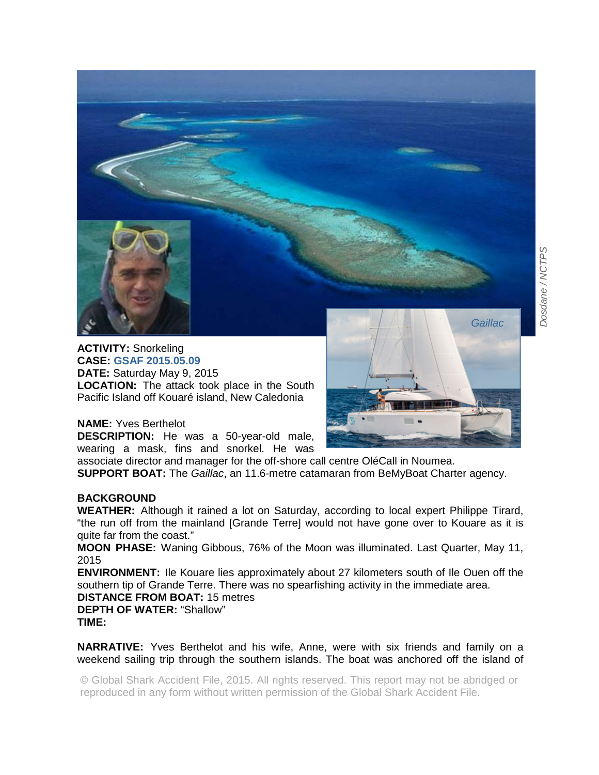



**ACTIVITY:** Snorkeling **CASE: GSAF 2015.05.09 DATE:** Saturday May 9, 2015 **LOCATION:** The attack took place in the South Pacific Island off Kouaré island, New Caledonia



## **NAME:** Yves Berthelot

**DESCRIPTION:** He was a 50-year-old male, wearing a mask, fins and snorkel. He was

associate director and manager for the off-shore call centre OléCall in Noumea. **SUPPORT BOAT:** The *Gaillac*, an 11.6-metre catamaran from BeMyBoat Charter agency.

## **BACKGROUND**

**WEATHER:** Although it rained a lot on Saturday, according to local expert Philippe Tirard, "the run off from the mainland [Grande Terre] would not have gone over to Kouare as it is quite far from the coast."

**MOON PHASE:** Waning Gibbous, 76% of the Moon was illuminated. Last Quarter, May 11, 2015

**ENVIRONMENT:** Ile Kouare lies approximately about 27 kilometers south of Ile Ouen off the southern tip of Grande Terre. There was no spearfishing activity in the immediate area.

**DISTANCE FROM BOAT:** 15 metres **DEPTH OF WATER:** "Shallow" **TIME:** 

**NARRATIVE:** Yves Berthelot and his wife, Anne, were with six friends and family on a weekend sailing trip through the southern islands. The boat was anchored off the island of

© Global Shark Accident File, 2015. All rights reserved. This report may not be abridged or reproduced in any form without written permission of the Global Shark Accident File.